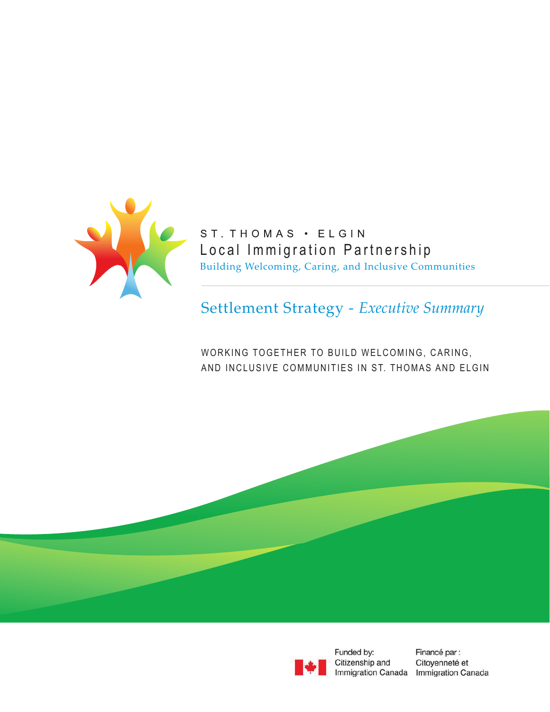

ST. THOMAS · ELGIN Local Immigration Partnership Building Welcoming, Caring, and Inclusive Communities

Settlement Strategy - *Executive Summary*

WORKING TOGETHER TO BUILD WELCOMING, CARING, AND INCLUSIVE COMMUNITIES IN ST. THOMAS AND ELGIN



Funded by: Citizenship and

Financé par : Citoyenneté et Immigration Canada Immigration Canada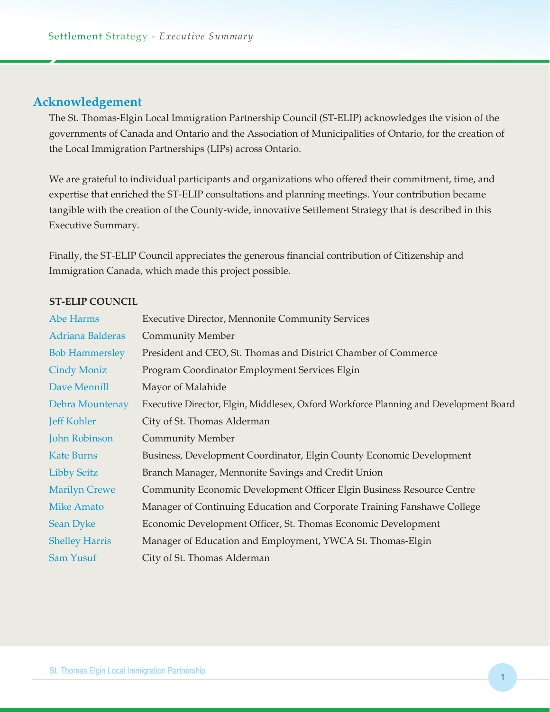## **Acknowledgement**

The St. Thomas-Elgin Local Immigration Partnership Council (ST-ELIP) acknowledges the vision of the governments of Canada and Ontario and the Association of Municipalities of Ontario, for the creation of the Local Immigration Partnerships (LIPs) across Ontario.

We are grateful to individual participants and organizations who offered their commitment, time, and expertise that enriched the ST-ELIP consultations and planning meetings. Your contribution became tangible with the creation of the County-wide, innovative Settlement Strategy that is described in this Executive Summary.

Finally, the ST-ELIP Council appreciates the generous financial contribution of Citizenship and Immigration Canada, which made this project possible.

### **ST-ELIP COUNCIL**

| Abe Harms             | <b>Executive Director, Mennonite Community Services</b>                               |
|-----------------------|---------------------------------------------------------------------------------------|
| Adriana Balderas      | <b>Community Member</b>                                                               |
| <b>Bob Hammersley</b> | President and CEO, St. Thomas and District Chamber of Commerce                        |
| <b>Cindy Moniz</b>    | Program Coordinator Employment Services Elgin                                         |
| Dave Mennill          | Mayor of Malahide                                                                     |
| Debra Mountenay       | Executive Director, Elgin, Middlesex, Oxford Workforce Planning and Development Board |
| <b>Jeff Kohler</b>    | City of St. Thomas Alderman                                                           |
| <b>John Robinson</b>  | <b>Community Member</b>                                                               |
| <b>Kate Burns</b>     | Business, Development Coordinator, Elgin County Economic Development                  |
| <b>Libby Seitz</b>    | Branch Manager, Mennonite Savings and Credit Union                                    |
| <b>Marilyn Crewe</b>  | Community Economic Development Officer Elgin Business Resource Centre                 |
| <b>Mike Amato</b>     | Manager of Continuing Education and Corporate Training Fanshawe College               |
| <b>Sean Dyke</b>      | Economic Development Officer, St. Thomas Economic Development                         |
| <b>Shelley Harris</b> | Manager of Education and Employment, YWCA St. Thomas-Elgin                            |
| Sam Yusuf             | City of St. Thomas Alderman                                                           |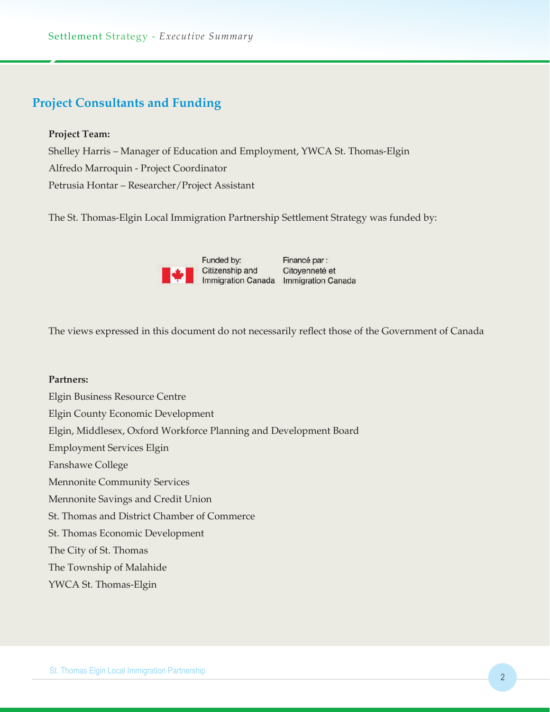# **Project Consultants and Funding**

### **Project Team:**

Shelley Harris – Manager of Education and Employment, YWCA St. Thomas-Elgin Alfredo Marroquin - Project Coordinator Petrusia Hontar – Researcher/Project Assistant

The St. Thomas-Elgin Local Immigration Partnership Settlement Strategy was funded by:



The views expressed in this document do not necessarily reflect those of the Government of Canada

### **Partners:**

Elgin Business Resource Centre Elgin County Economic Development Elgin, Middlesex, Oxford Workforce Planning and Development Board Employment Services Elgin Fanshawe College Mennonite Community Services Mennonite Savings and Credit Union St. Thomas and District Chamber of Commerce St. Thomas Economic Development The City of St. Thomas The Township of Malahide YWCA St. Thomas-Elgin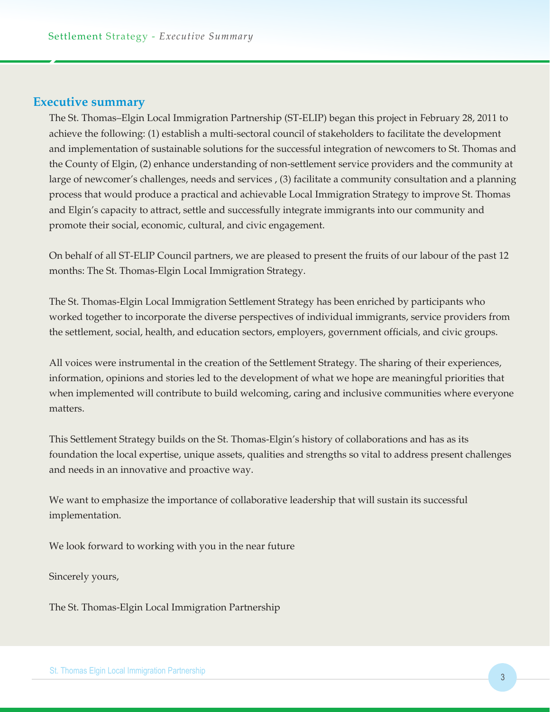### **Executive summary**

The St. Thomas–Elgin Local Immigration Partnership (ST-ELIP) began this project in February 28, 2011 to achieve the following: (1) establish a multi-sectoral council of stakeholders to facilitate the development and implementation of sustainable solutions for the successful integration of newcomers to St. Thomas and the County of Elgin, (2) enhance understanding of non-settlement service providers and the community at large of newcomer's challenges, needs and services , (3) facilitate a community consultation and a planning process that would produce a practical and achievable Local Immigration Strategy to improve St. Thomas and Elgin's capacity to attract, settle and successfully integrate immigrants into our community and promote their social, economic, cultural, and civic engagement.

On behalf of all ST-ELIP Council partners, we are pleased to present the fruits of our labour of the past 12 months: The St. Thomas-Elgin Local Immigration Strategy.

The St. Thomas-Elgin Local Immigration Settlement Strategy has been enriched by participants who worked together to incorporate the diverse perspectives of individual immigrants, service providers from the settlement, social, health, and education sectors, employers, government officials, and civic groups.

All voices were instrumental in the creation of the Settlement Strategy. The sharing of their experiences, information, opinions and stories led to the development of what we hope are meaningful priorities that when implemented will contribute to build welcoming, caring and inclusive communities where everyone matters.

This Settlement Strategy builds on the St. Thomas-Elgin's history of collaborations and has as its foundation the local expertise, unique assets, qualities and strengths so vital to address present challenges and needs in an innovative and proactive way.

We want to emphasize the importance of collaborative leadership that will sustain its successful implementation.

We look forward to working with you in the near future

Sincerely yours,

The St. Thomas-Elgin Local Immigration Partnership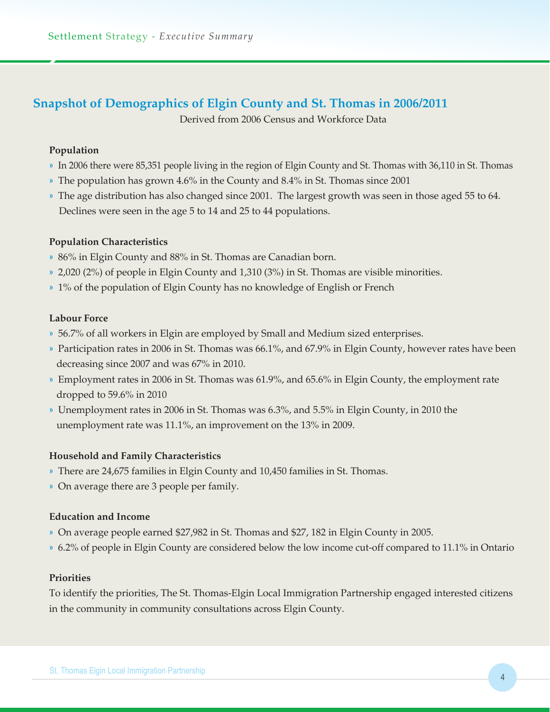# **Snapshot of Demographics of Elgin County and St. Thomas in 2006/2011**

Derived from 2006 Census and Workforce Data

## **Population**

- » In 2006 there were 85,351 people living in the region of Elgin County and St. Thomas with 36,110 in St. Thomas
- » The population has grown 4.6% in the County and 8.4% in St. Thomas since 2001
- » The age distribution has also changed since 2001. The largest growth was seen in those aged 55 to 64. Declines were seen in the age 5 to 14 and 25 to 44 populations.

### **Population Characteristics**

- » 86% in Elgin County and 88% in St. Thomas are Canadian born.
- » 2,020 (2%) of people in Elgin County and 1,310 (3%) in St. Thomas are visible minorities.
- » 1% of the population of Elgin County has no knowledge of English or French

### **Labour Force**

- » 56.7% of all workers in Elgin are employed by Small and Medium sized enterprises.
- » Participation rates in 2006 in St. Thomas was 66.1%, and 67.9% in Elgin County, however rates have been decreasing since 2007 and was 67% in 2010.
- » Employment rates in 2006 in St. Thomas was 61.9%, and 65.6% in Elgin County, the employment rate dropped to 59.6% in 2010
- » Unemployment rates in 2006 in St. Thomas was 6.3%, and 5.5% in Elgin County, in 2010 the unemployment rate was 11.1%, an improvement on the 13% in 2009.

## **Household and Family Characteristics**

- » There are 24,675 families in Elgin County and 10,450 families in St. Thomas.
- » On average there are 3 people per family.

### **Education and Income**

- » On average people earned \$27,982 in St. Thomas and \$27, 182 in Elgin County in 2005.
- » 6.2% of people in Elgin County are considered below the low income cut-off compared to 11.1% in Ontario

## **Priorities**

To identify the priorities, The St. Thomas-Elgin Local Immigration Partnership engaged interested citizens in the community in community consultations across Elgin County.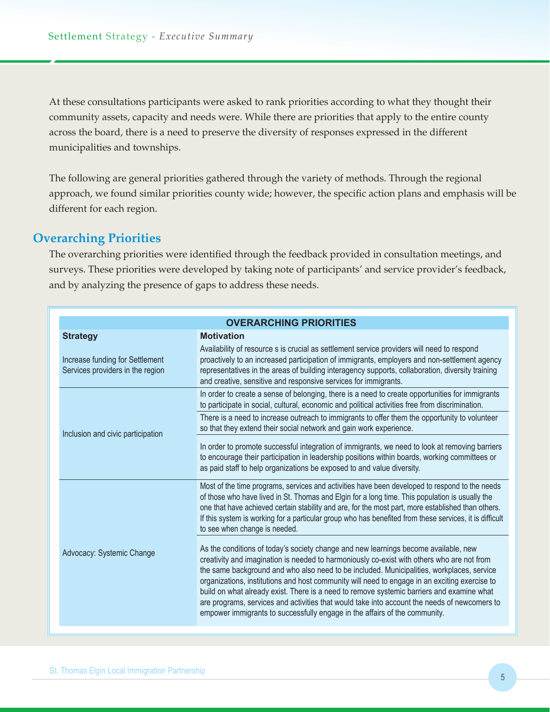At these consultations participants were asked to rank priorities according to what they thought their community assets, capacity and needs were. While there are priorities that apply to the entire county across the board, there is a need to preserve the diversity of responses expressed in the different municipalities and townships.

The following are general priorities gathered through the variety of methods. Through the regional approach, we found similar priorities county wide; however, the specific action plans and emphasis will be different for each region.

# **Overarching Priorities**

The overarching priorities were identified through the feedback provided in consultation meetings, and surveys. These priorities were developed by taking note of participants' and service provider's feedback, and by analyzing the presence of gaps to address these needs.

| <b>OVERARCHING PRIORITIES</b>                                       |                                                                                                                                                                                                                                                                                                                                                                                                                                                                                                                                                                                                                                                            |  |
|---------------------------------------------------------------------|------------------------------------------------------------------------------------------------------------------------------------------------------------------------------------------------------------------------------------------------------------------------------------------------------------------------------------------------------------------------------------------------------------------------------------------------------------------------------------------------------------------------------------------------------------------------------------------------------------------------------------------------------------|--|
| <b>Strategy</b>                                                     | <b>Motivation</b>                                                                                                                                                                                                                                                                                                                                                                                                                                                                                                                                                                                                                                          |  |
| Increase funding for Settlement<br>Services providers in the region | Availability of resource s is crucial as settlement service providers will need to respond<br>proactively to an increased participation of immigrants, employers and non-settlement agency<br>representatives in the areas of building interagency supports, collaboration, diversity training<br>and creative, sensitive and responsive services for immigrants.                                                                                                                                                                                                                                                                                          |  |
|                                                                     | In order to create a sense of belonging, there is a need to create opportunities for immigrants<br>to participate in social, cultural, economic and political activities free from discrimination.                                                                                                                                                                                                                                                                                                                                                                                                                                                         |  |
| Inclusion and civic participation                                   | There is a need to increase outreach to immigrants to offer them the opportunity to volunteer<br>so that they extend their social network and gain work experience.                                                                                                                                                                                                                                                                                                                                                                                                                                                                                        |  |
|                                                                     | In order to promote successful integration of immigrants, we need to look at removing barriers<br>to encourage their participation in leadership positions within boards, working committees or<br>as paid staff to help organizations be exposed to and value diversity.                                                                                                                                                                                                                                                                                                                                                                                  |  |
|                                                                     | Most of the time programs, services and activities have been developed to respond to the needs<br>of those who have lived in St. Thomas and Elgin for a long time. This population is usually the<br>one that have achieved certain stability and are, for the most part, more established than others.<br>If this system is working for a particular group who has benefited from these services, it is difficult<br>to see when change is needed.                                                                                                                                                                                                        |  |
| Advocacy: Systemic Change                                           | As the conditions of today's society change and new learnings become available, new<br>creativity and imagination is needed to harmoniously co-exist with others who are not from<br>the same background and who also need to be included. Municipalities, workplaces, service<br>organizations, institutions and host community will need to engage in an exciting exercise to<br>build on what already exist. There is a need to remove systemic barriers and examine what<br>are programs, services and activities that would take into account the needs of newcomers to<br>empower immigrants to successfully engage in the affairs of the community. |  |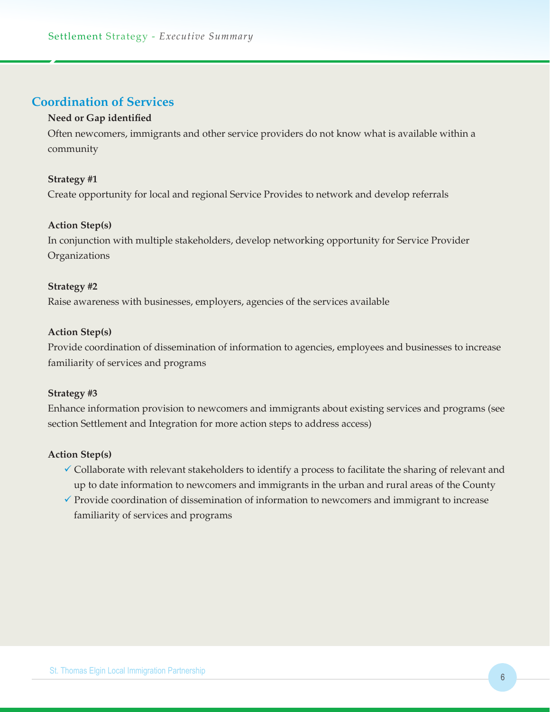## **Coordination of Services**

### **Need or Gap identified**

Often newcomers, immigrants and other service providers do not know what is available within a community

### **Strategy #1**

Create opportunity for local and regional Service Provides to network and develop referrals

### **Action Step(s)**

In conjunction with multiple stakeholders, develop networking opportunity for Service Provider **Organizations** 

### **Strategy #2**

Raise awareness with businesses, employers, agencies of the services available

### **Action Step(s)**

Provide coordination of dissemination of information to agencies, employees and businesses to increase familiarity of services and programs

### **Strategy #3**

Enhance information provision to newcomers and immigrants about existing services and programs (see section Settlement and Integration for more action steps to address access)

- $\checkmark$  Collaborate with relevant stakeholders to identify a process to facilitate the sharing of relevant and up to date information to newcomers and immigrants in the urban and rural areas of the County
- $\checkmark$  Provide coordination of dissemination of information to newcomers and immigrant to increase familiarity of services and programs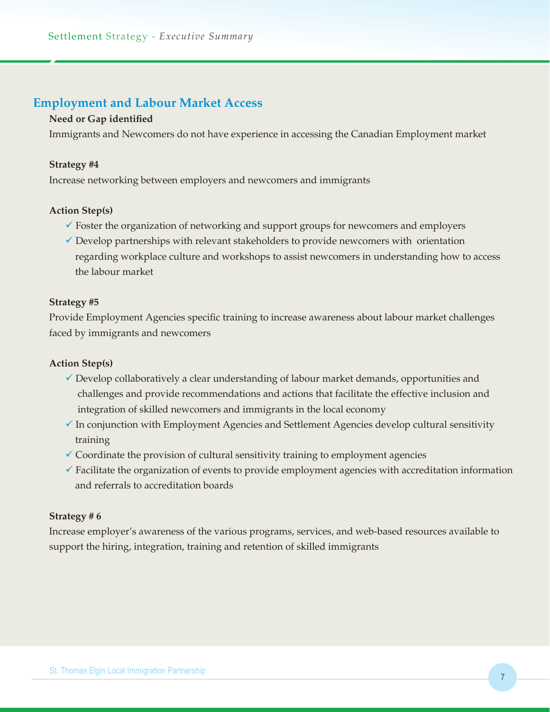## **Employment and Labour Market Access**

### **Need or Gap identified**

Immigrants and Newcomers do not have experience in accessing the Canadian Employment market

### **Strategy #4**

Increase networking between employers and newcomers and immigrants

### **Action Step(s)**

- $\checkmark$  Foster the organization of networking and support groups for newcomers and employers
- $\checkmark$  Develop partnerships with relevant stakeholders to provide new comers with orientation regarding workplace culture and workshops to assist newcomers in understanding how to access the labour market

### **Strategy #5**

Provide Employment Agencies specific training to increase awareness about labour market challenges faced by immigrants and newcomers

### **Action Step(s)**

- $\checkmark$  Develop collaboratively a clear understanding of labour market demands, opportunities and challenges and provide recommendations and actions that facilitate the effective inclusion and integration of skilled newcomers and immigrants in the local economy
- $\checkmark$  In conjunction with Employment Agencies and Settlement Agencies develop cultural sensitivity training
- $\checkmark$  Coordinate the provision of cultural sensitivity training to employment agencies
- $\checkmark$  Facilitate the organization of events to provide employment agencies with accreditation information and referrals to accreditation boards

### **Strategy # 6**

Increase employer's awareness of the various programs, services, and web-based resources available to support the hiring, integration, training and retention of skilled immigrants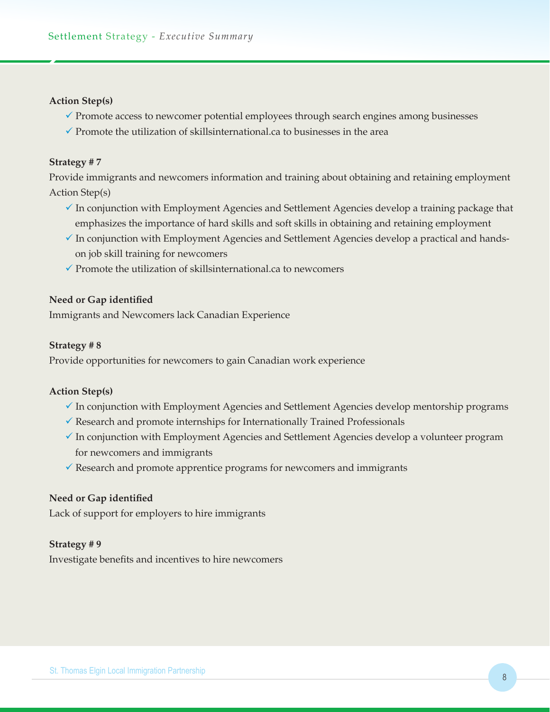### **Action Step(s)**

- $\checkmark$  Promote access to newcomer potential employees through search engines among businesses
- $\checkmark$  Promote the utilization of skillsinternational.ca to businesses in the area

### **Strategy # 7**

Provide immigrants and newcomers information and training about obtaining and retaining employment Action Step(s)

- $\checkmark$  In conjunction with Employment Agencies and Settlement Agencies develop a training package that emphasizes the importance of hard skills and soft skills in obtaining and retaining employment
- $\checkmark$  In conjunction with Employment Agencies and Settlement Agencies develop a practical and handson job skill training for newcomers
- $\checkmark$  Promote the utilization of skillsinternational.ca to newcomers

### **Need or Gap identified**

Immigrants and Newcomers lack Canadian Experience

### **Strategy # 8**

Provide opportunities for newcomers to gain Canadian work experience

### **Action Step(s)**

- $\checkmark$  In conjunction with Employment Agencies and Settlement Agencies develop mentorship programs
- $\checkmark$  Research and promote internships for Internationally Trained Professionals
- $\checkmark$  In conjunction with Employment Agencies and Settlement Agencies develop a volunteer program for newcomers and immigrants
- $\checkmark$  Research and promote apprentice programs for newcomers and immigrants

### **Need or Gap identified**

Lack of support for employers to hire immigrants

### **Strategy # 9**

Investigate benefits and incentives to hire newcomers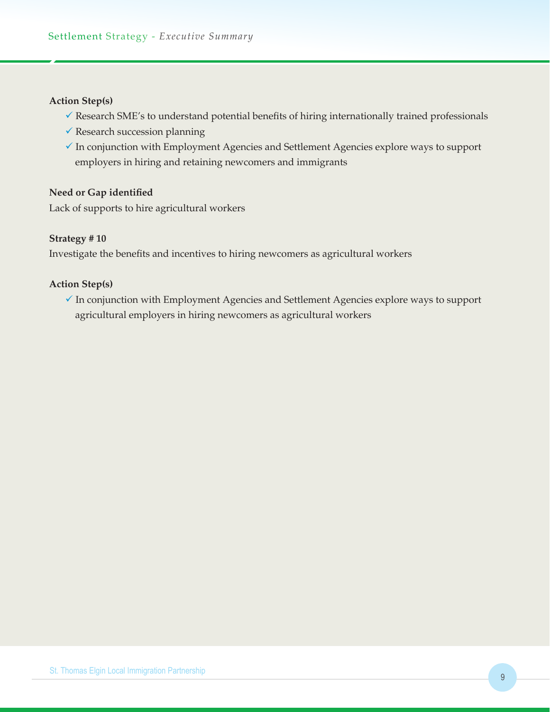### **Action Step(s)**

- $\checkmark$  Research SME's to understand potential benefits of hiring internationally trained professionals
- $\checkmark$  Research succession planning
- $\checkmark$  In conjunction with Employment Agencies and Settlement Agencies explore ways to support employers in hiring and retaining newcomers and immigrants

### **Need or Gap identified**

Lack of supports to hire agricultural workers

#### **Strategy # 10**

Investigate the benefits and incentives to hiring newcomers as agricultural workers

### **Action Step(s)**

 $\checkmark$  In conjunction with Employment Agencies and Settlement Agencies explore ways to support agricultural employers in hiring newcomers as agricultural workers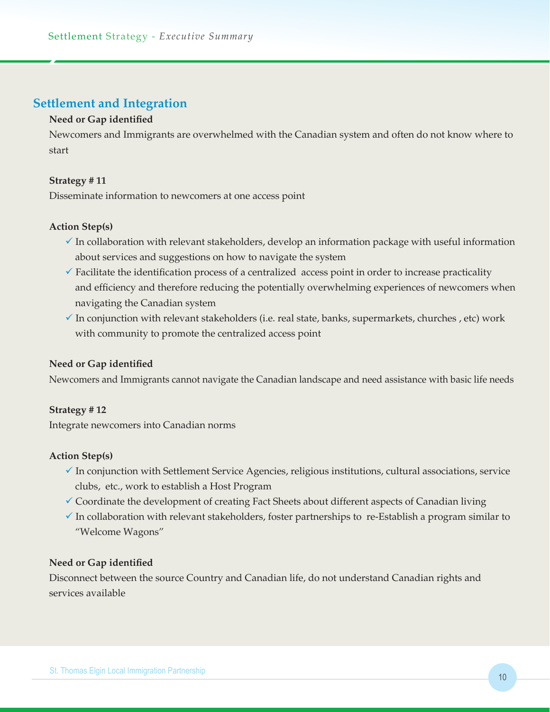## **Settlement and Integration**

## **Need or Gap identified**

Newcomers and Immigrants are overwhelmed with the Canadian system and often do not know where to start

### **Strategy # 11**

Disseminate information to newcomers at one access point

### **Action Step(s)**

- $\checkmark$  In collaboration with relevant stakeholders, develop an information package with useful information about services and suggestions on how to navigate the system
- $\checkmark$  Facilitate the identification process of a centralized access point in order to increase practicality and efficiency and therefore reducing the potentially overwhelming experiences of newcomers when navigating the Canadian system
- $\checkmark$  In conjunction with relevant stakeholders (i.e. real state, banks, supermarkets, churches , etc) work with community to promote the centralized access point

### **Need or Gap identified**

Newcomers and Immigrants cannot navigate the Canadian landscape and need assistance with basic life needs

### **Strategy # 12**

Integrate newcomers into Canadian norms

### **Action Step(s)**

- $\checkmark$  In conjunction with Settlement Service Agencies, religious institutions, cultural associations, service clubs, etc., work to establish a Host Program
- $\checkmark$  Coordinate the development of creating Fact Sheets about different aspects of Canadian living
- $\checkmark$  In collaboration with relevant stakeholders, foster partnerships to re-Establish a program similar to "Welcome Wagons"

### **Need or Gap identified**

Disconnect between the source Country and Canadian life, do not understand Canadian rights and services available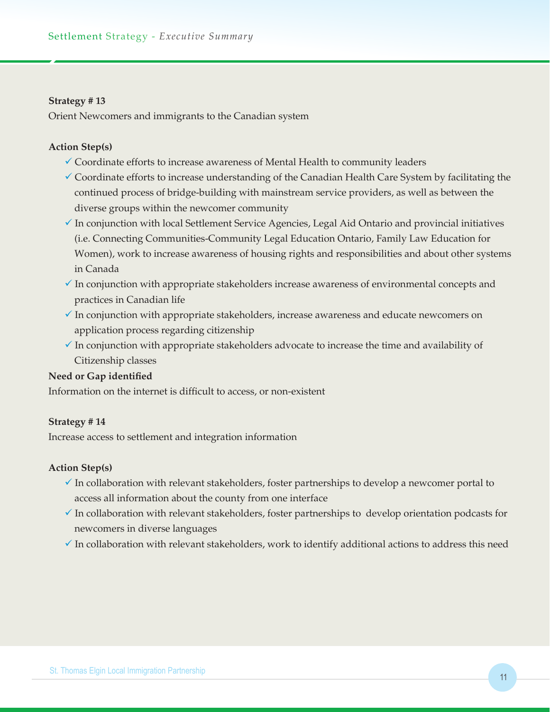### **Strategy # 13**

Orient Newcomers and immigrants to the Canadian system

### **Action Step(s)**

- $\checkmark$  Coordinate efforts to increase awareness of Mental Health to community leaders
- $\checkmark$  Coordinate efforts to increase understanding of the Canadian Health Care System by facilitating the continued process of bridge-building with mainstream service providers, as well as between the diverse groups within the newcomer community
- $\checkmark$  In conjunction with local Settlement Service Agencies, Legal Aid Ontario and provincial initiatives (i.e. Connecting Communities-Community Legal Education Ontario, Family Law Education for Women), work to increase awareness of housing rights and responsibilities and about other systems in Canada
- $\checkmark$  In conjunction with appropriate stakeholders increase awareness of environmental concepts and practices in Canadian life
- $\checkmark$  In conjunction with appropriate stakeholders, increase awareness and educate newcomers on application process regarding citizenship
- $\checkmark$  In conjunction with appropriate stakeholders advocate to increase the time and availability of Citizenship classes

### **Need or Gap identified**

Information on the internet is difficult to access, or non-existent

### **Strategy # 14**

Increase access to settlement and integration information

- $\checkmark$  In collaboration with relevant stakeholders, foster partnerships to develop a newcomer portal to access all information about the county from one interface
- $\checkmark$  In collaboration with relevant stakeholders, foster partnerships to develop orientation podcasts for newcomers in diverse languages
- $\checkmark$  In collaboration with relevant stakeholders, work to identify additional actions to address this need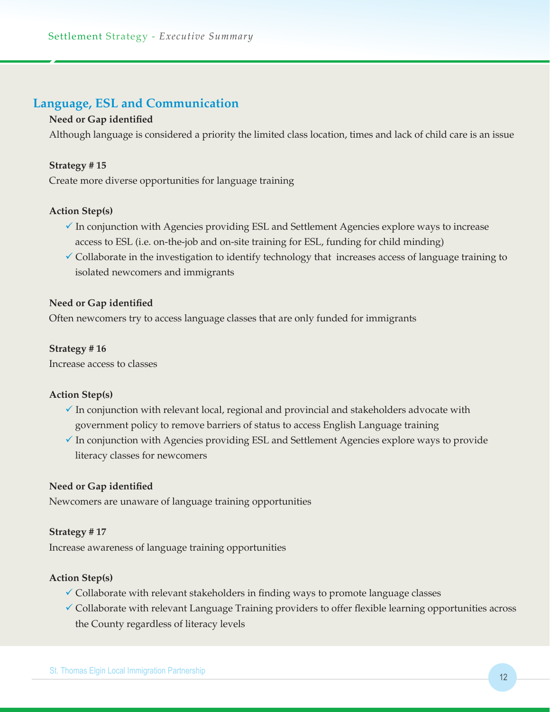## **Language, ESL and Communication**

### **Need or Gap identified**

Although language is considered a priority the limited class location, times and lack of child care is an issue

### **Strategy # 15**

Create more diverse opportunities for language training

### **Action Step(s)**

- $\checkmark$  In conjunction with Agencies providing ESL and Settlement Agencies explore ways to increase access to ESL (i.e. on-the-job and on-site training for ESL, funding for child minding)
- $\checkmark$  Collaborate in the investigation to identify technology that increases access of language training to isolated newcomers and immigrants

### **Need or Gap identified**

Often newcomers try to access language classes that are only funded for immigrants

#### **Strategy # 16**

Increase access to classes

#### **Action Step(s)**

- $\checkmark$  In conjunction with relevant local, regional and provincial and stakeholders advocate with government policy to remove barriers of status to access English Language training
- $\checkmark$  In conjunction with Agencies providing ESL and Settlement Agencies explore ways to provide literacy classes for newcomers

### **Need or Gap identified**

Newcomers are unaware of language training opportunities

#### **Strategy # 17**

Increase awareness of language training opportunities

- $\checkmark$  Collaborate with relevant stakeholders in finding ways to promote language classes
- $\checkmark$  Collaborate with relevant Language Training providers to offer flexible learning opportunities across the County regardless of literacy levels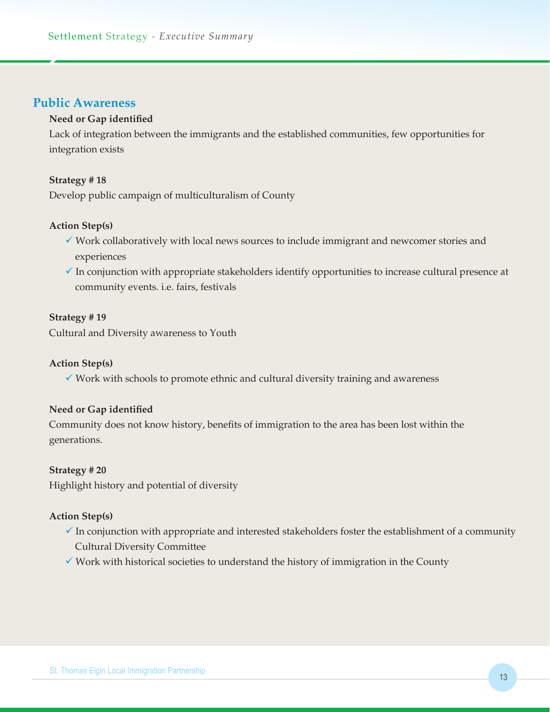## **Public Awareness**

### **Need or Gap identified**

Lack of integration between the immigrants and the established communities, few opportunities for integration exists

### **Strategy # 18**

Develop public campaign of multiculturalism of County

### **Action Step(s)**

- $\checkmark$  Work collaboratively with local news sources to include immigrant and newcomer stories and experiences
- $\checkmark$  In conjunction with appropriate stakeholders identify opportunities to increase cultural presence at community events. i.e. fairs, festivals

### **Strategy # 19**

Cultural and Diversity awareness to Youth

### **Action Step(s)**

 $\checkmark$  Work with schools to promote ethnic and cultural diversity training and awareness

### **Need or Gap identified**

Community does not know history, benefits of immigration to the area has been lost within the generations.

### **Strategy # 20**

Highlight history and potential of diversity

- $\checkmark$  In conjunction with appropriate and interested stakeholders foster the establishment of a community Cultural Diversity Committee
- $\checkmark$  Work with historical societies to understand the history of immigration in the County